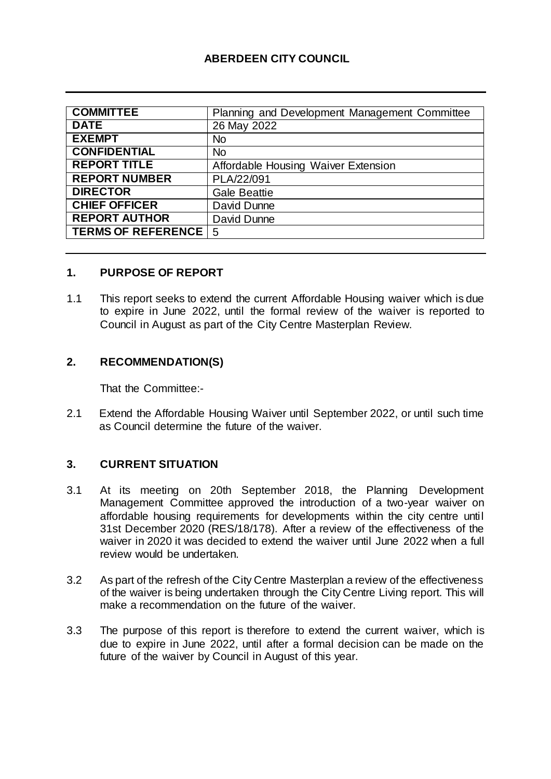## **ABERDEEN CITY COUNCIL**

| <b>COMMITTEE</b>       | Planning and Development Management Committee |
|------------------------|-----------------------------------------------|
| <b>DATE</b>            | 26 May 2022                                   |
| <b>EXEMPT</b>          | <b>No</b>                                     |
| <b>CONFIDENTIAL</b>    | <b>No</b>                                     |
| <b>REPORT TITLE</b>    | Affordable Housing Waiver Extension           |
| <b>REPORT NUMBER</b>   | PLA/22/091                                    |
| <b>DIRECTOR</b>        | <b>Gale Beattie</b>                           |
| <b>CHIEF OFFICER</b>   | David Dunne                                   |
| <b>REPORT AUTHOR</b>   | David Dunne                                   |
| TERMS OF REFERENCE   5 |                                               |

#### **1. PURPOSE OF REPORT**

1.1 This report seeks to extend the current Affordable Housing waiver which is due to expire in June 2022, until the formal review of the waiver is reported to Council in August as part of the City Centre Masterplan Review.

#### **2. RECOMMENDATION(S)**

That the Committee:-

2.1 Extend the Affordable Housing Waiver until September 2022, or until such time as Council determine the future of the waiver.

#### **3. CURRENT SITUATION**

- 3.1 At its meeting on 20th September 2018, the Planning Development Management Committee approved the introduction of a two-year waiver on affordable housing requirements for developments within the city centre until 31st December 2020 (RES/18/178). After a review of the effectiveness of the waiver in 2020 it was decided to extend the waiver until June 2022 when a full review would be undertaken.
- 3.2 As part of the refresh of the City Centre Masterplan a review of the effectiveness of the waiver is being undertaken through the City Centre Living report. This will make a recommendation on the future of the waiver.
- 3.3 The purpose of this report is therefore to extend the current waiver, which is due to expire in June 2022, until after a formal decision can be made on the future of the waiver by Council in August of this year.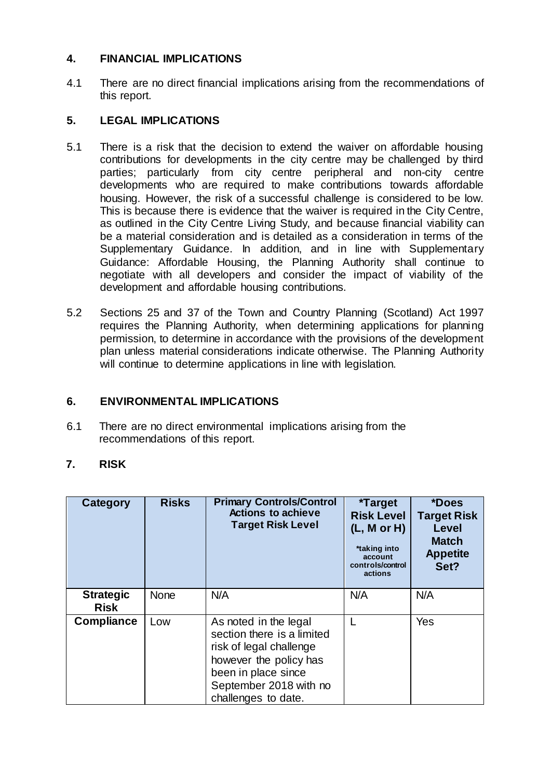#### **4. FINANCIAL IMPLICATIONS**

4.1 There are no direct financial implications arising from the recommendations of this report.

## **5. LEGAL IMPLICATIONS**

- 5.1 There is a risk that the decision to extend the waiver on affordable housing contributions for developments in the city centre may be challenged by third parties; particularly from city centre peripheral and non-city centre developments who are required to make contributions towards affordable housing. However, the risk of a successful challenge is considered to be low. This is because there is evidence that the waiver is required in the City Centre, as outlined in the City Centre Living Study, and because financial viability can be a material consideration and is detailed as a consideration in terms of the Supplementary Guidance. In addition, and in line with Supplementary Guidance: Affordable Housing, the Planning Authority shall continue to negotiate with all developers and consider the impact of viability of the development and affordable housing contributions.
- 5.2 Sections 25 and 37 of the Town and Country Planning (Scotland) Act 1997 requires the Planning Authority, when determining applications for planning permission, to determine in accordance with the provisions of the development plan unless material considerations indicate otherwise. The Planning Authority will continue to determine applications in line with legislation.

## **6. ENVIRONMENTAL IMPLICATIONS**

6.1 There are no direct environmental implications arising from the recommendations of this report.

## **7. RISK**

| Category                        | <b>Risks</b> | <b>Primary Controls/Control</b><br><b>Actions to achieve</b><br><b>Target Risk Level</b>                                                                                         | <i><b>*Target</b></i><br><b>Risk Level</b><br>(L, M or H)<br>*taking into<br>account<br>controls/control<br>actions | *Does<br><b>Target Risk</b><br>Level<br><b>Match</b><br><b>Appetite</b><br>Set? |
|---------------------------------|--------------|----------------------------------------------------------------------------------------------------------------------------------------------------------------------------------|---------------------------------------------------------------------------------------------------------------------|---------------------------------------------------------------------------------|
| <b>Strategic</b><br><b>Risk</b> | <b>None</b>  | N/A                                                                                                                                                                              | N/A                                                                                                                 | N/A                                                                             |
| <b>Compliance</b>               | Low          | As noted in the legal<br>section there is a limited<br>risk of legal challenge<br>however the policy has<br>been in place since<br>September 2018 with no<br>challenges to date. |                                                                                                                     | Yes                                                                             |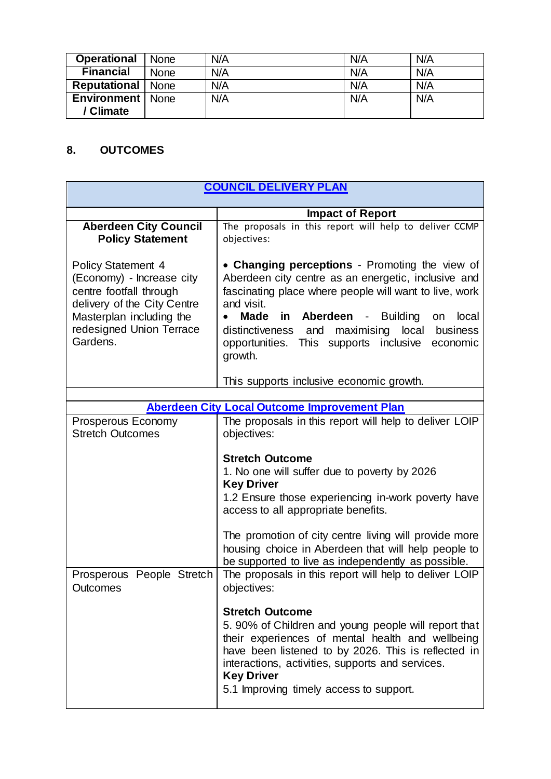| <b>Operational</b>  | <b>None</b> | N/A | N/A | N/A |
|---------------------|-------------|-----|-----|-----|
| <b>Financial</b>    | <b>None</b> | N/A | N/A | N/A |
| <b>Reputational</b> | <b>None</b> | N/A | N/A | N/A |
| Environment         | <b>None</b> | N/A | N/A | N/A |
| / Climate           |             |     |     |     |

# **8. OUTCOMES**

| <b>COUNCIL DELIVERY PLAN</b>                                                                                                                                                         |                                                                                                                                                                                                                                                                                                                                                                  |  |
|--------------------------------------------------------------------------------------------------------------------------------------------------------------------------------------|------------------------------------------------------------------------------------------------------------------------------------------------------------------------------------------------------------------------------------------------------------------------------------------------------------------------------------------------------------------|--|
|                                                                                                                                                                                      | <b>Impact of Report</b>                                                                                                                                                                                                                                                                                                                                          |  |
| <b>Aberdeen City Council</b><br><b>Policy Statement</b>                                                                                                                              | The proposals in this report will help to deliver CCMP<br>objectives:                                                                                                                                                                                                                                                                                            |  |
| <b>Policy Statement 4</b><br>(Economy) - Increase city<br>centre footfall through<br>delivery of the City Centre<br>Masterplan including the<br>redesigned Union Terrace<br>Gardens. | • Changing perceptions - Promoting the view of<br>Aberdeen city centre as an energetic, inclusive and<br>fascinating place where people will want to live, work<br>and visit.<br><b>Made</b><br>in Aberdeen - Building<br>local<br>on<br>distinctiveness<br>and maximising<br>local<br>business<br>opportunities. This supports inclusive<br>economic<br>growth. |  |
|                                                                                                                                                                                      | This supports inclusive economic growth.                                                                                                                                                                                                                                                                                                                         |  |
|                                                                                                                                                                                      | <b>Aberdeen City Local Outcome Improvement Plan</b>                                                                                                                                                                                                                                                                                                              |  |
| Prosperous Economy<br><b>Stretch Outcomes</b>                                                                                                                                        | The proposals in this report will help to deliver LOIP<br>objectives:                                                                                                                                                                                                                                                                                            |  |
|                                                                                                                                                                                      | <b>Stretch Outcome</b><br>1. No one will suffer due to poverty by 2026<br><b>Key Driver</b><br>1.2 Ensure those experiencing in-work poverty have<br>access to all appropriate benefits.<br>The promotion of city centre living will provide more<br>housing choice in Aberdeen that will help people to<br>be supported to live as independently as possible.   |  |
| Prosperous People Stretch<br>Outcomes                                                                                                                                                | The proposals in this report will help to deliver LOIP<br>objectives:<br><b>Stretch Outcome</b><br>5. 90% of Children and young people will report that<br>their experiences of mental health and wellbeing<br>have been listened to by 2026. This is reflected in                                                                                               |  |
|                                                                                                                                                                                      | interactions, activities, supports and services.<br><b>Key Driver</b><br>5.1 Improving timely access to support.                                                                                                                                                                                                                                                 |  |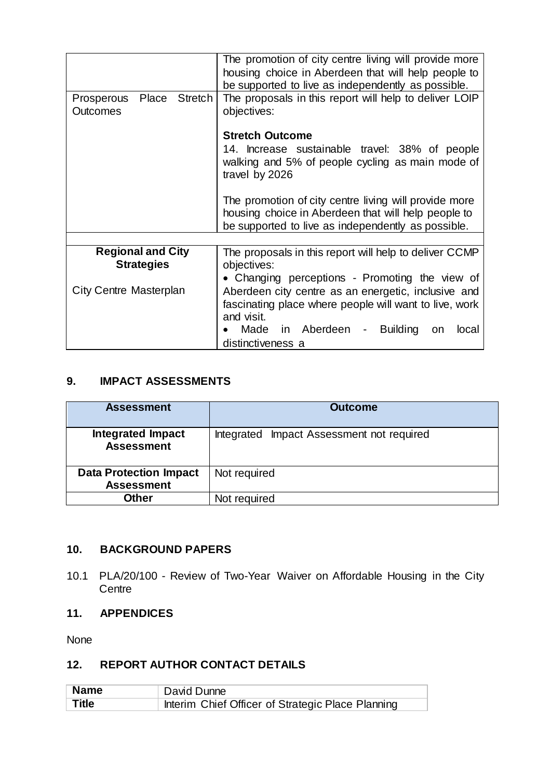| The promotion of city centre living will provide more<br>housing choice in Aberdeen that will help people to<br>be supported to live as independently as possible.                                                                               |  |
|--------------------------------------------------------------------------------------------------------------------------------------------------------------------------------------------------------------------------------------------------|--|
| The proposals in this report will help to deliver LOIP<br>Place Stretch<br>objectives:                                                                                                                                                           |  |
| <b>Stretch Outcome</b>                                                                                                                                                                                                                           |  |
| 14. Increase sustainable travel: 38% of people<br>walking and 5% of people cycling as main mode of<br>travel by 2026                                                                                                                             |  |
| The promotion of city centre living will provide more<br>housing choice in Aberdeen that will help people to<br>be supported to live as independently as possible.                                                                               |  |
|                                                                                                                                                                                                                                                  |  |
| The proposals in this report will help to deliver CCMP<br>objectives:                                                                                                                                                                            |  |
| • Changing perceptions - Promoting the view of<br>Aberdeen city centre as an energetic, inclusive and<br>fascinating place where people will want to live, work<br>and visit.<br>Made in Aberdeen - Building<br>on<br>local<br>distinctiveness a |  |
|                                                                                                                                                                                                                                                  |  |

## **9. IMPACT ASSESSMENTS**

| <b>Assessment</b>                                  | <b>Outcome</b>                            |
|----------------------------------------------------|-------------------------------------------|
| <b>Integrated Impact</b><br><b>Assessment</b>      | Integrated Impact Assessment not required |
| <b>Data Protection Impact</b><br><b>Assessment</b> | Not required                              |
| Other                                              | Not required                              |

#### **10. BACKGROUND PAPERS**

10.1 PLA/20/100 - Review of Two-Year Waiver on Affordable Housing in the City **Centre** 

## **11. APPENDICES**

None

## **12. REPORT AUTHOR CONTACT DETAILS**

| Name  | David Dunne                                       |
|-------|---------------------------------------------------|
| Title | Interim Chief Officer of Strategic Place Planning |